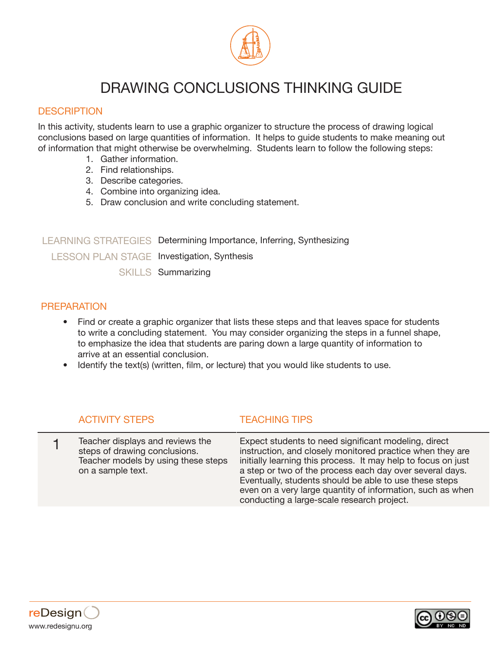

# DRAWING CONCLUSIONS THINKING GUIDE

### **DESCRIPTION**

In this activity, students learn to use a graphic organizer to structure the process of drawing logical conclusions based on large quantities of information. It helps to guide students to make meaning out of information that might otherwise be overwhelming. Students learn to follow the following steps:

- 1. Gather information.
- 2. Find relationships.
- 3. Describe categories.
- 4. Combine into organizing idea.
- 5. Draw conclusion and write concluding statement.

LEARNING STRATEGIES Determining Importance, Inferring, Synthesizing LESSON PLAN STAGE Investigation, Synthesis SKILLS Summarizing

### PREPARATION

- Find or create a graphic organizer that lists these steps and that leaves space for students to write a concluding statement. You may consider organizing the steps in a funnel shape, to emphasize the idea that students are paring down a large quantity of information to arrive at an essential conclusion.
- Identify the text(s) (written, film, or lecture) that you would like students to use.

## ACTIVITY STEPS TEACHING TIPS

1 Teacher displays and reviews the steps of drawing conclusions. Teacher models by using these steps on a sample text. Expect students to need significant modeling, direct instruction, and closely monitored practice when they are initially learning this process. It may help to focus on just a step or two of the process each day over several days. Eventually, students should be able to use these steps even on a very large quantity of information, such as when conducting a large-scale research project.